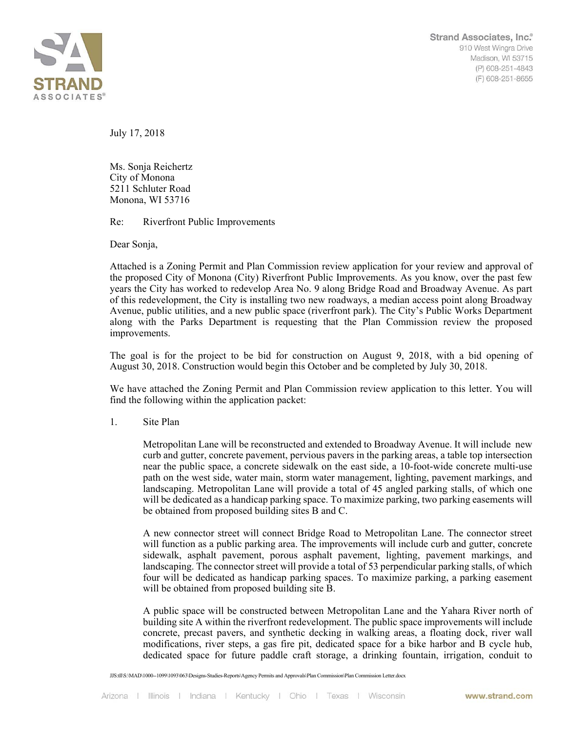

July 17, 2018

Ms. Sonja Reichertz City of Monona 5211 Schluter Road Monona, WI 53716

Re: Riverfront Public Improvements

Dear Sonja,

Attached is a Zoning Permit and Plan Commission review application for your review and approval of the proposed City of Monona (City) Riverfront Public Improvements. As you know, over the past few years the City has worked to redevelop Area No. 9 along Bridge Road and Broadway Avenue. As part of this redevelopment, the City is installing two new roadways, a median access point along Broadway Avenue, public utilities, and a new public space (riverfront park). The City's Public Works Department along with the Parks Department is requesting that the Plan Commission review the proposed improvements.

The goal is for the project to be bid for construction on August 9, 2018, with a bid opening of August 30, 2018. Construction would begin this October and be completed by July 30, 2018.

We have attached the Zoning Permit and Plan Commission review application to this letter. You will find the following within the application packet:

1. Site Plan

Metropolitan Lane will be reconstructed and extended to Broadway Avenue. It will include new curb and gutter, concrete pavement, pervious pavers in the parking areas, a table top intersection near the public space, a concrete sidewalk on the east side, a 10-foot-wide concrete multi-use path on the west side, water main, storm water management, lighting, pavement markings, and landscaping. Metropolitan Lane will provide a total of 45 angled parking stalls, of which one will be dedicated as a handicap parking space. To maximize parking, two parking easements will be obtained from proposed building sites B and C.

A new connector street will connect Bridge Road to Metropolitan Lane. The connector street will function as a public parking area. The improvements will include curb and gutter, concrete sidewalk, asphalt pavement, porous asphalt pavement, lighting, pavement markings, and landscaping. The connector street will provide a total of 53 perpendicular parking stalls, of which four will be dedicated as handicap parking spaces. To maximize parking, a parking easement will be obtained from proposed building site B.

A public space will be constructed between Metropolitan Lane and the Yahara River north of building site A within the riverfront redevelopment. The public space improvements will include concrete, precast pavers, and synthetic decking in walking areas, a floating dock, river wall modifications, river steps, a gas fire pit, dedicated space for a bike harbor and B cycle hub, dedicated space for future paddle craft storage, a drinking fountain, irrigation, conduit to

JJS:tll\S:\MAD\1000--1099\1093\063\Designs-Studies-Reports\Agency Permits and Approvals\Plan Commission\Plan Commission Letter.docx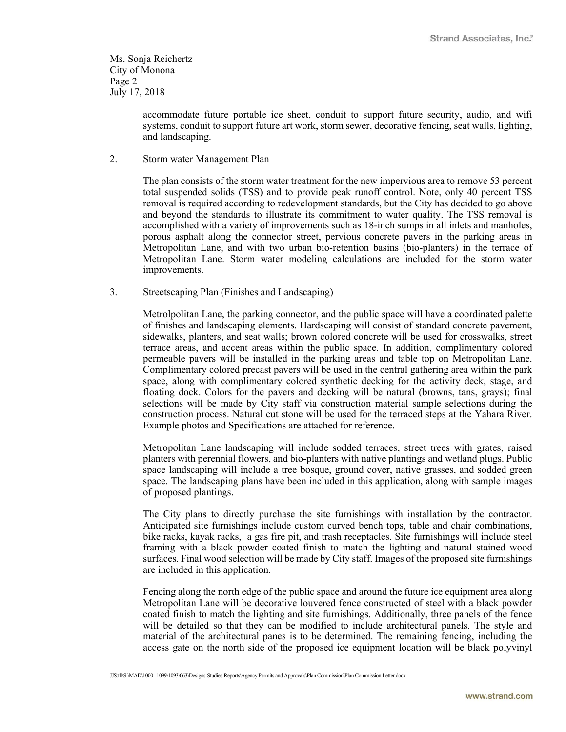Ms. Sonja Reichertz City of Monona Page 2 July 17, 2018

> accommodate future portable ice sheet, conduit to support future security, audio, and wifi systems, conduit to support future art work, storm sewer, decorative fencing, seat walls, lighting, and landscaping.

2. Storm water Management Plan

The plan consists of the storm water treatment for the new impervious area to remove 53 percent total suspended solids (TSS) and to provide peak runoff control. Note, only 40 percent TSS removal is required according to redevelopment standards, but the City has decided to go above and beyond the standards to illustrate its commitment to water quality. The TSS removal is accomplished with a variety of improvements such as 18-inch sumps in all inlets and manholes, porous asphalt along the connector street, pervious concrete pavers in the parking areas in Metropolitan Lane, and with two urban bio-retention basins (bio-planters) in the terrace of Metropolitan Lane. Storm water modeling calculations are included for the storm water improvements.

3. Streetscaping Plan (Finishes and Landscaping)

Metrolpolitan Lane, the parking connector, and the public space will have a coordinated palette of finishes and landscaping elements. Hardscaping will consist of standard concrete pavement, sidewalks, planters, and seat walls; brown colored concrete will be used for crosswalks, street terrace areas, and accent areas within the public space. In addition, complimentary colored permeable pavers will be installed in the parking areas and table top on Metropolitan Lane. Complimentary colored precast pavers will be used in the central gathering area within the park space, along with complimentary colored synthetic decking for the activity deck, stage, and floating dock. Colors for the pavers and decking will be natural (browns, tans, grays); final selections will be made by City staff via construction material sample selections during the construction process. Natural cut stone will be used for the terraced steps at the Yahara River. Example photos and Specifications are attached for reference.

Metropolitan Lane landscaping will include sodded terraces, street trees with grates, raised planters with perennial flowers, and bio-planters with native plantings and wetland plugs. Public space landscaping will include a tree bosque, ground cover, native grasses, and sodded green space. The landscaping plans have been included in this application, along with sample images of proposed plantings.

The City plans to directly purchase the site furnishings with installation by the contractor. Anticipated site furnishings include custom curved bench tops, table and chair combinations, bike racks, kayak racks, a gas fire pit, and trash receptacles. Site furnishings will include steel framing with a black powder coated finish to match the lighting and natural stained wood surfaces. Final wood selection will be made by City staff. Images of the proposed site furnishings are included in this application.

Fencing along the north edge of the public space and around the future ice equipment area along Metropolitan Lane will be decorative louvered fence constructed of steel with a black powder coated finish to match the lighting and site furnishings. Additionally, three panels of the fence will be detailed so that they can be modified to include architectural panels. The style and material of the architectural panes is to be determined. The remaining fencing, including the access gate on the north side of the proposed ice equipment location will be black polyvinyl